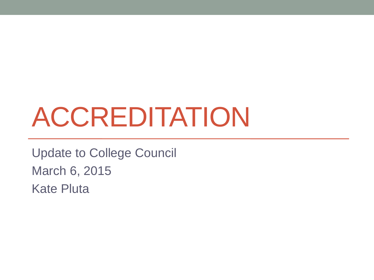# ACCREDITATION

Update to College Council March 6, 2015 Kate Pluta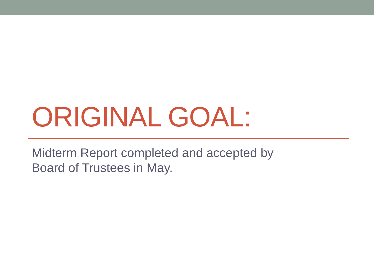# ORIGINAL GOAL:

Midterm Report completed and accepted by Board of Trustees in May.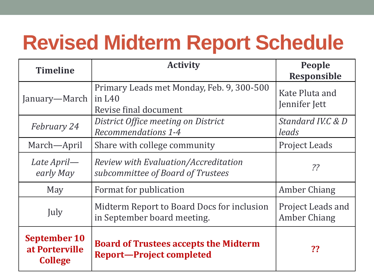# **Revised Midterm Report Schedule**

| <b>Timeline</b>                                         | <b>Activity</b>                                                                 | <b>People</b><br><b>Responsible</b>             |
|---------------------------------------------------------|---------------------------------------------------------------------------------|-------------------------------------------------|
| January—March                                           | Primary Leads met Monday, Feb. 9, 300-500<br>in $L40$<br>Revise final document  | Kate Pluta and<br>Jennifer Jett                 |
| <b>February 24</b>                                      | District Office meeting on District<br>Recommendations 1-4                      | Standard IV.C & D<br>leads                      |
| March—April                                             | Share with college community                                                    | <b>Project Leads</b>                            |
| Late April—<br>early May                                | Review with Evaluation/Accreditation<br>subcommittee of Board of Trustees       | $\frac{2}{3}$                                   |
| May                                                     | Format for publication                                                          | Amber Chiang                                    |
| July                                                    | Midterm Report to Board Docs for inclusion<br>in September board meeting.       | <b>Project Leads and</b><br><b>Amber Chiang</b> |
| <b>September 10</b><br>at Porterville<br><b>College</b> | <b>Board of Trustees accepts the Midterm</b><br><b>Report-Project completed</b> | ??                                              |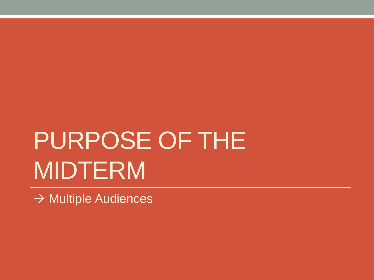# PURPOSE OF THE MIDTERM

 $\rightarrow$  Multiple Audiences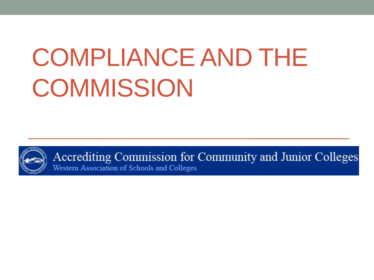# COMPLIANCE AND THE **COMMISSION**



Accrediting Commission for Community and Junior Colleges Western Association of Schools and Colleges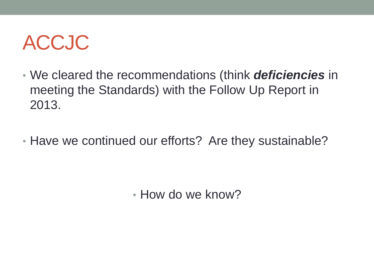#### ACCJC

- We cleared the recommendations (think *deficiencies* in meeting the Standards) with the Follow Up Report in 2013.
- Have we continued our efforts? Are they sustainable?

• How do we know?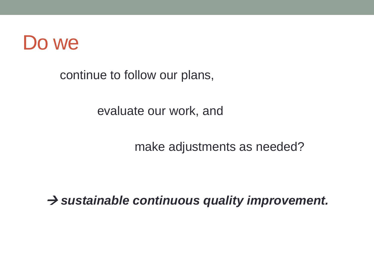

continue to follow our plans,

evaluate our work, and

make adjustments as needed?

 $\rightarrow$  sustainable continuous quality improvement.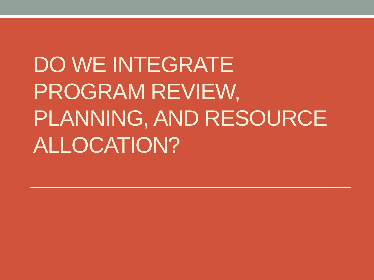DO WE INTEGRATE PROGRAM REVIEW, PLANNING, AND RESOURCE ALLOCATION?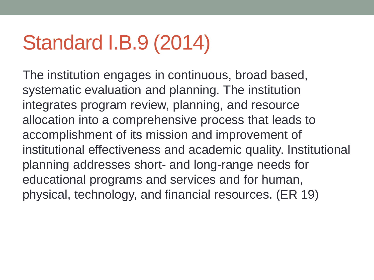### Standard I.B.9 (2014)

The institution engages in continuous, broad based, systematic evaluation and planning. The institution integrates program review, planning, and resource allocation into a comprehensive process that leads to accomplishment of its mission and improvement of institutional effectiveness and academic quality. Institutional planning addresses short- and long-range needs for educational programs and services and for human, physical, technology, and financial resources. (ER 19)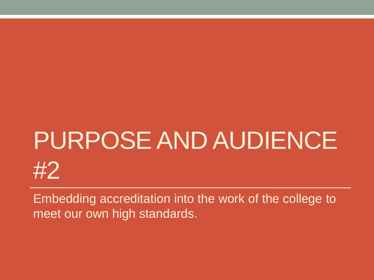# PURPOSE AND AUDIENCE #2

Embedding accreditation into the work of the college to meet our own high standards.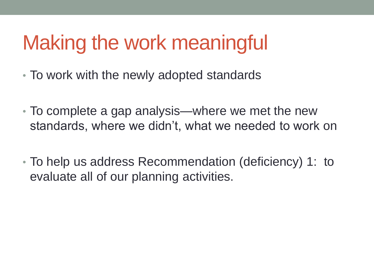# Making the work meaningful

- To work with the newly adopted standards
- To complete a gap analysis—where we met the new standards, where we didn't, what we needed to work on
- To help us address Recommendation (deficiency) 1: to evaluate all of our planning activities.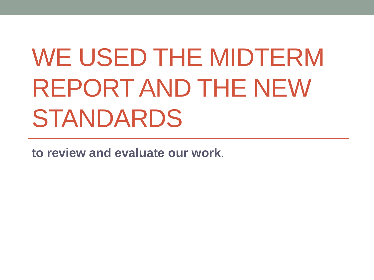# WE USED THE MIDTERM REPORT AND THE NEW STANDARDS

**to review and evaluate our work**.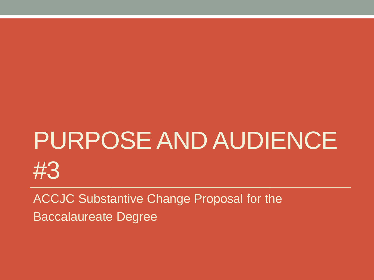# PURPOSE AND AUDIENCE #3

ACCJC Substantive Change Proposal for the Baccalaureate Degree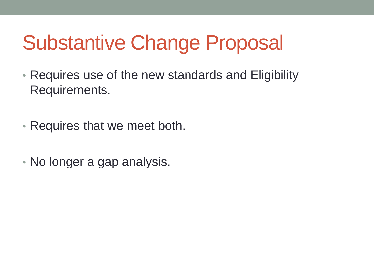# Substantive Change Proposal

- Requires use of the new standards and Eligibility Requirements.
- Requires that we meet both.
- No longer a gap analysis.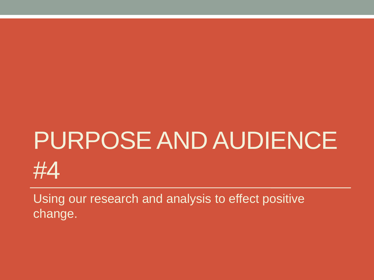# PURPOSE AND AUDIENCE #4

Using our research and analysis to effect positive change.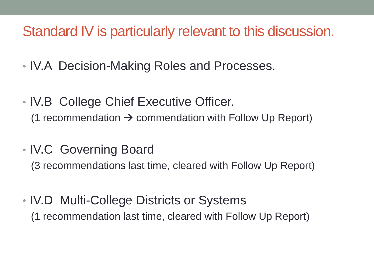#### Standard IV is particularly relevant to this discussion.

- IV.A Decision-Making Roles and Processes.
- IV.B College Chief Executive Officer. (1 recommendation  $\rightarrow$  commendation with Follow Up Report)
- IV.C Governing Board

(3 recommendations last time, cleared with Follow Up Report)

• IV.D Multi-College Districts or Systems (1 recommendation last time, cleared with Follow Up Report)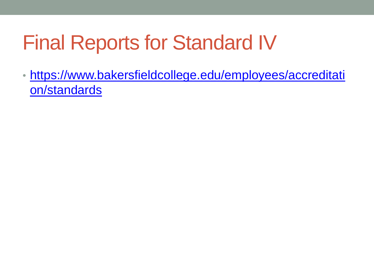## Final Reports for Standard IV

• [https://www.bakersfieldcollege.edu/employees/accreditati](https://www.bakersfieldcollege.edu/employees/accreditation/standards) [on/standards](https://www.bakersfieldcollege.edu/employees/accreditation/standards)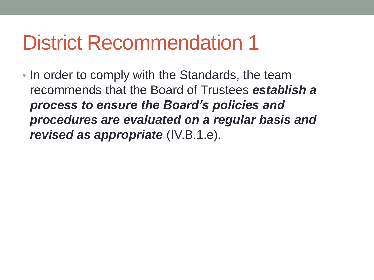• In order to comply with the Standards, the team recommends that the Board of Trustees *establish a process to ensure the Board's policies and procedures are evaluated on a regular basis and revised as appropriate* (IV.B.1.e).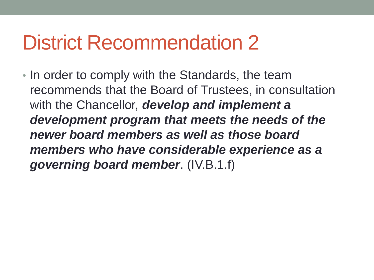• In order to comply with the Standards, the team recommends that the Board of Trustees, in consultation with the Chancellor, *develop and implement a development program that meets the needs of the newer board members as well as those board members who have considerable experience as a governing board member*. (IV.B.1.f)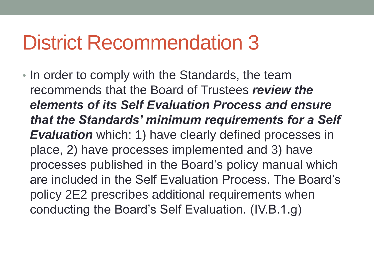• In order to comply with the Standards, the team recommends that the Board of Trustees *review the elements of its Self Evaluation Process and ensure that the Standards' minimum requirements for a Self Evaluation* which: 1) have clearly defined processes in place, 2) have processes implemented and 3) have processes published in the Board's policy manual which are included in the Self Evaluation Process. The Board's policy 2E2 prescribes additional requirements when conducting the Board's Self Evaluation. (IV.B.1.g)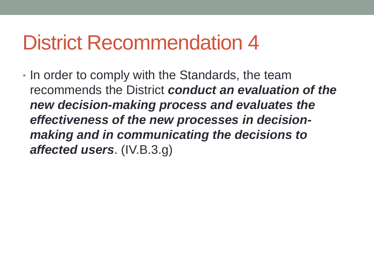• In order to comply with the Standards, the team recommends the District *conduct an evaluation of the new decision-making process and evaluates the effectiveness of the new processes in decisionmaking and in communicating the decisions to affected users*. (IV.B.3.g)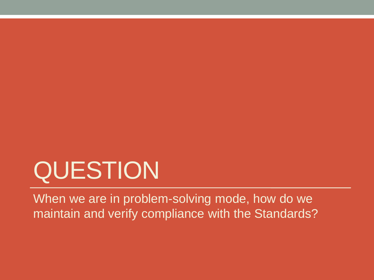# QUESTION

When we are in problem-solving mode, how do we maintain and verify compliance with the Standards?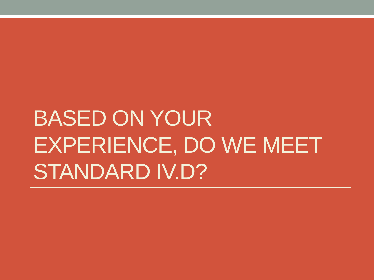# BASED ON YOUR EXPERIENCE, DO WE MEET STANDARD IV.D?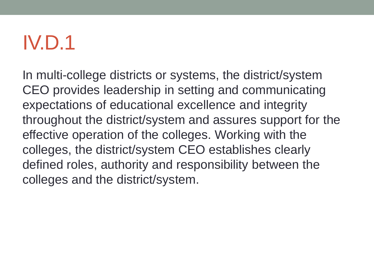In multi-college districts or systems, the district/system CEO provides leadership in setting and communicating expectations of educational excellence and integrity throughout the district/system and assures support for the effective operation of the colleges. Working with the colleges, the district/system CEO establishes clearly defined roles, authority and responsibility between the colleges and the district/system.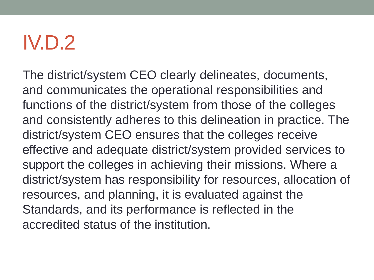The district/system CEO clearly delineates, documents, and communicates the operational responsibilities and functions of the district/system from those of the colleges and consistently adheres to this delineation in practice. The district/system CEO ensures that the colleges receive effective and adequate district/system provided services to support the colleges in achieving their missions. Where a district/system has responsibility for resources, allocation of resources, and planning, it is evaluated against the Standards, and its performance is reflected in the accredited status of the institution.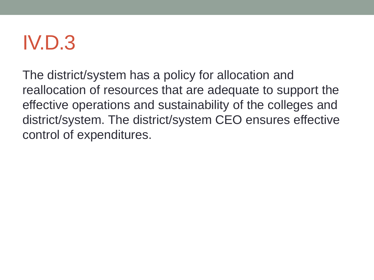The district/system has a policy for allocation and reallocation of resources that are adequate to support the effective operations and sustainability of the colleges and district/system. The district/system CEO ensures effective control of expenditures.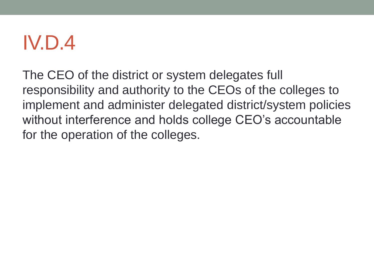The CEO of the district or system delegates full responsibility and authority to the CEOs of the colleges to implement and administer delegated district/system policies without interference and holds college CEO's accountable for the operation of the colleges.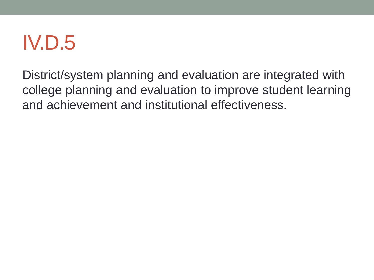District/system planning and evaluation are integrated with college planning and evaluation to improve student learning and achievement and institutional effectiveness.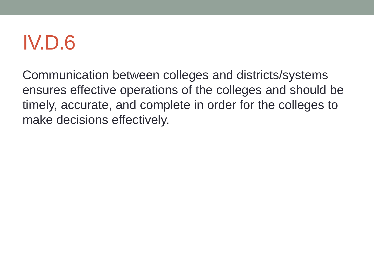Communication between colleges and districts/systems ensures effective operations of the colleges and should be timely, accurate, and complete in order for the colleges to make decisions effectively.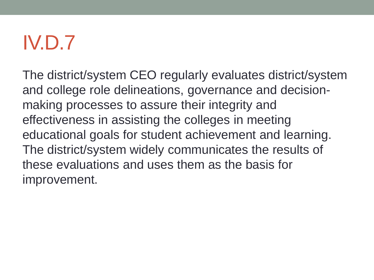The district/system CEO regularly evaluates district/system and college role delineations, governance and decisionmaking processes to assure their integrity and effectiveness in assisting the colleges in meeting educational goals for student achievement and learning. The district/system widely communicates the results of these evaluations and uses them as the basis for improvement.